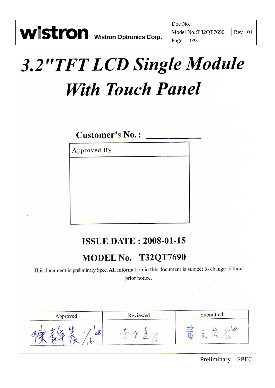## **3.2"TFT LCD Single Module With Touch Panel**

## Customer's No.:

Approved By

## **ISSUE DATE: 2008-01-15**

## MODEL No. T32QT7690

This document is preliminary Spec. All information in this document is subject to change without prior notice.

| Approved     | Reviewed | Submitted |  |
|--------------|----------|-----------|--|
| $\sim$<br>00 |          |           |  |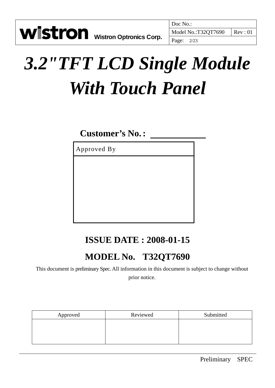# *3.2"TFT LCD Single Module With Touch Panel*

## **Customer's No.:**

Approved By

## **ISSUE DATE : 2008-01-15**

## **MODEL No. T32QT7690**

This document is preliminary Spec. All information in this document is subject to change without prior notice.

| Approved | Reviewed | Submitted |
|----------|----------|-----------|
|          |          |           |
|          |          |           |
|          |          |           |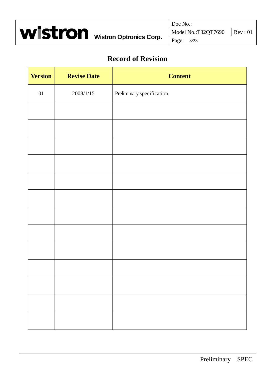

#### **Record of Revision**

| <b>Version</b> | <b>Revise Date</b> | <b>Content</b>             |
|----------------|--------------------|----------------------------|
| $01\,$         | 2008/1/15          | Preliminary specification. |
|                |                    |                            |
|                |                    |                            |
|                |                    |                            |
|                |                    |                            |
|                |                    |                            |
|                |                    |                            |
|                |                    |                            |
|                |                    |                            |
|                |                    |                            |
|                |                    |                            |
|                |                    |                            |
|                |                    |                            |
|                |                    |                            |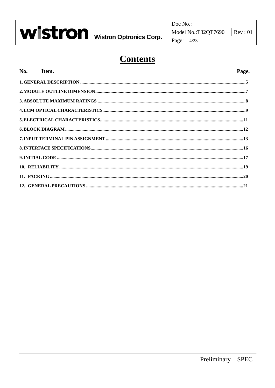

Doc No.:

## **Contents**

#### Page.

 $Rev: 01$ 

| No. Item. | Page. |
|-----------|-------|
|           |       |
|           |       |
|           |       |
|           |       |
|           |       |
|           |       |
|           |       |
|           |       |
|           |       |
|           |       |
|           |       |
|           |       |
|           |       |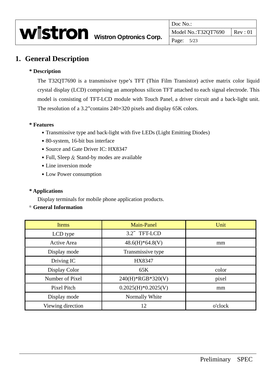#### **1. General Description**

#### **\* Description**

The T32QT7690 is a transmissive type's TFT (Thin Film Transistor) active matrix color liquid crystal display (LCD) comprising an amorphous silicon TFT attached to each signal electrode. This model is consisting of TFT-LCD module with Touch Panel, a driver circuit and a back-light unit. The resolution of a 3.2"contains 240×320 pixels and display 65K colors.

#### **\* Features**

- Transmissive type and back-light with five LEDs (Light Emitting Diodes)
- 80-system, 16-bit bus interface
- Source and Gate Driver IC: HX8347
- Full, Sleep  $&$  Stand-by modes are available
- Line inversion mode
- ․Low Power consumption

#### **\* Applications**

Display terminals for mobile phone application products.

#### \* **General Information**

| <b>Items</b>       | <b>Main-Panel</b>     | Unit    |
|--------------------|-----------------------|---------|
| LCD type           | 3.2" TFT-LCD          |         |
| <b>Active Area</b> | $48.6(H)*64.8(V)$     | mm      |
| Display mode       | Transmissive type     |         |
| Driving IC         | HX8347                |         |
| Display Color      | 65K                   | color   |
| Number of Pixel    | 240(H)*RGB*320(V)     | pixel   |
| <b>Pixel Pitch</b> | $0.2025(H)*0.2025(V)$ | mm      |
| Display mode       | Normally White        |         |
| Viewing direction  | 12                    | o'clock |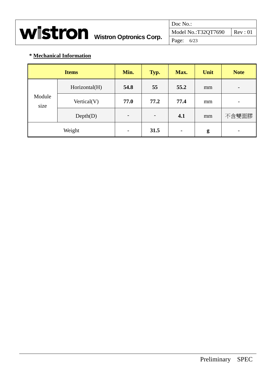|                                        | Doc No.:            |                              |
|----------------------------------------|---------------------|------------------------------|
| <b>WISTron</b> Wistron Optronics Corp. | Model No.:T32QT7690 | $\vert \text{Rev}: 01 \vert$ |
|                                        | Page: $6/23$        |                              |

#### **\* Mechanical Information**

|                | <b>Items</b>   | Min.                     | Typ.                     | Max. | Unit | <b>Note</b>              |
|----------------|----------------|--------------------------|--------------------------|------|------|--------------------------|
|                | Horizontal(H)  | 54.8                     | 55                       | 55.2 | mm   | -                        |
| Module<br>size | Vertical $(V)$ | 77.0                     | 77.2                     | 77.4 | mm   | $\overline{\phantom{0}}$ |
|                | Depth(D)       | $\overline{\phantom{a}}$ | $\overline{\phantom{0}}$ | 4.1  | mm   | 不含雙面膠                    |
|                | Weight         | $\overline{\phantom{a}}$ | 31.5                     | -    | g    | -                        |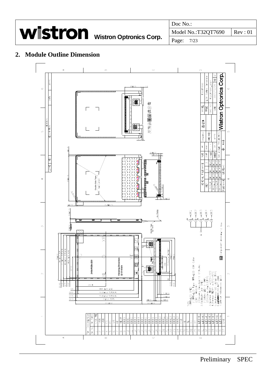|                                 |                                            | Doc No.:   |  |
|---------------------------------|--------------------------------------------|------------|--|
| Wistron Wistron Optronics Corp. | $\mid$ Model No.:T32QT7690 $\mid$ Rev : 01 |            |  |
|                                 |                                            | Page: 7/23 |  |

#### **2. Module Outline Dimension**

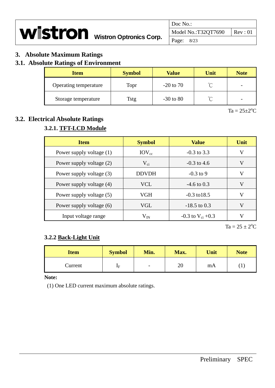|                                        | Doc No.:            |                  |
|----------------------------------------|---------------------|------------------|
| <b>WISTron</b> Wistron Optronics Corp. | Model No.:T32QT7690 | $\vert$ Rev : 01 |
|                                        | Page: 8/23          |                  |

#### **3. Absolute Maximum Ratings**

#### **3.1. Absolute Ratings of Environment**

| <b>Item</b>           | <b>Symbol</b> | <b>Value</b>  | Unit   | <b>Note</b> |
|-----------------------|---------------|---------------|--------|-------------|
| Operating temperature | Topr          | $-20$ to 70   | $\sim$ |             |
| Storage temperature   | Tstg          | $-30$ to $80$ | $\sim$ |             |

 $Ta = 25 \pm 2$ <sup>o</sup>C

#### **3.2. Electrical Absolute Ratings**

#### **3.2.1. TFT-LCD Module**

| <b>Item</b>              | <b>Symbol</b> | <b>Value</b>            | Unit |
|--------------------------|---------------|-------------------------|------|
| Power supply voltage (1) | $IOV_{cc}$    | $-0.3$ to 3.3           | V    |
| Power supply voltage (2) | $V_{ci}$      | $-0.3$ to 4.6           | V    |
| Power supply voltage (3) | <b>DDVDH</b>  | $-0.3$ to 9             | V    |
| Power supply voltage (4) | <b>VCL</b>    | $-4.6 \text{ to } 0.3$  | V    |
| Power supply voltage (5) | VGH           | $-0.3 \text{ to } 18.5$ | V    |
| Power supply voltage (6) | VGL           | $-18.5$ to 0.3          | V    |
| Input voltage range      | $\rm V_{IN}$  | -0.3 to $V_{ci}$ +0.3   |      |

 $Ta = 25 \pm 2^{\circ}C$ 

#### **3.2.2 Back-Light Unit**

| <b>Item</b> | <b>Symbol</b>  | Min.                     | Max. | Unit | <b>Note</b>    |
|-------------|----------------|--------------------------|------|------|----------------|
| Current     | $\mathbf{I}$ F | $\overline{\phantom{0}}$ | 20   | mA   | $\mathbf{I}$ . |

**Note:** 

(1) One LED current maximum absolute ratings.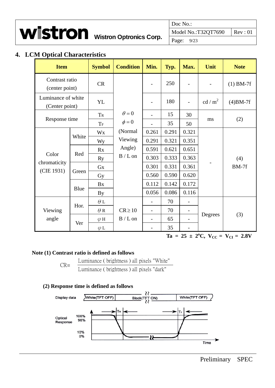

Doc No.: **WISTron** Wistron Optronics Corp. Model No.:T32QT7690 Rev : 01

#### **4. LCM Optical Characteristics**

| <b>Item</b>                          |       | <b>Symbol</b>           | <b>Condition</b> | Min.                     | Typ.  | Max.                     | Unit              | <b>Note</b> |
|--------------------------------------|-------|-------------------------|------------------|--------------------------|-------|--------------------------|-------------------|-------------|
| Contrast ratio<br>(center point)     |       | CR                      |                  | $\overline{\phantom{a}}$ | 250   |                          |                   | $(1)$ BM-7f |
| Luminance of white<br>(Center point) |       | <b>YL</b>               |                  | $\overline{\phantom{a}}$ | 180   |                          | cd/m <sup>2</sup> | $(4)$ BM-7f |
|                                      |       | TR                      | $\theta = 0$     | $\overline{\phantom{a}}$ | 15    | 30                       |                   | (2)         |
| Response time                        |       | $\mathrm{T}_\mathrm{F}$ | $\phi = 0$       | $\overline{a}$           | 35    | 50                       | ms                |             |
|                                      | White | Wx                      | (Normal          | 0.261                    | 0.291 | 0.321                    |                   | (4)         |
|                                      |       | Wy                      | Viewing          | 0.291                    | 0.321 | 0.351                    |                   |             |
|                                      | Red   | Rx                      | Angle)           | 0.591                    | 0.621 | 0.651                    |                   |             |
| Color                                |       | <b>Ry</b>               | $B/L$ on         | 0.303                    | 0.333 | 0.363                    |                   |             |
| chromaticity<br>(CIE 1931)           | Green | <b>Gx</b>               |                  | 0.301                    | 0.331 | 0.361                    |                   | $BM-7f$     |
|                                      |       | Gy                      |                  | 0.560                    | 0.590 | 0.620                    |                   |             |
|                                      |       | Bx                      |                  | 0.112                    | 0.142 | 0.172                    |                   |             |
|                                      | Blue  | <b>By</b>               |                  | 0.056                    | 0.086 | 0.116                    |                   |             |
|                                      |       | $\theta$ L              |                  | $\overline{a}$           | 70    | $\overline{\phantom{0}}$ |                   |             |
| Viewing                              | Hor.  | $\theta$ R              | $CR \ge 10$      | $\overline{\phantom{0}}$ | 70    | $\overline{\phantom{a}}$ |                   |             |
| angle                                | Ver   | $\varphi$ H             | $B/L$ on         |                          | 65    |                          | Degrees           | (3)         |
|                                      |       | $\varphi$ L             |                  | $\overline{\phantom{0}}$ | 35    | $\overline{\phantom{0}}$ |                   |             |

 $Ta = 25 \pm 2^{\circ}C$ ,  $V_{CC} = V_{CI} = 2.8V$ 

#### **Note (1) Contrast ratio is defined as follows**

Luminance ( brightness ) all pixels "White" CR= Luminance ( brightness ) all pixels "dark"

#### **(2) Response time is defined as follows**

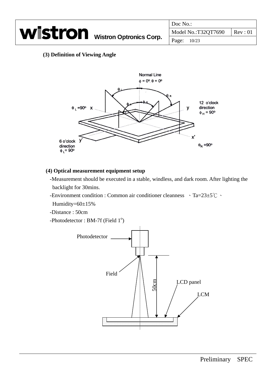|                                        | Doc No.:                      |  |
|----------------------------------------|-------------------------------|--|
| <b>Wistron</b> Wistron Optronics Corp. | Model No.:T32QT7690   Rev: 01 |  |
|                                        | Page: 10/23                   |  |

#### **(3) Definition of Viewing Angle**



#### **(4) Optical measurement equipment setup**

- -Measurement should be executed in a stable, windless, and dark room. After lighting the backlight for 30mins.
- -Environment condition : Common air conditioner cleanness 、Ta=23±5℃、
- Humidity=60±15%
- -Distance : 50cm
- -Photodetector: BM-7f (Field  $1^{\circ}$ )

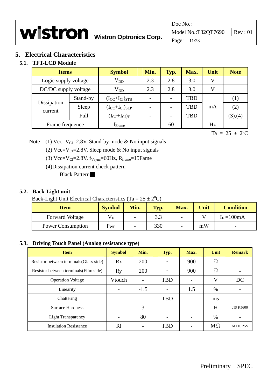|                                        | Doc No.:                       |  |
|----------------------------------------|--------------------------------|--|
| <b>WISTron</b> Wistron Optronics Corp. | Model No.:T32QT7690   Rev : 01 |  |
|                                        | Page: 11/23                    |  |

#### **5. Electrical Characteristics**

#### **5.1. TFT-LCD Module**

| <b>Items</b>           |          | <b>Symbol</b>           | Min. | Typ. | Max.       | Unit | <b>Note</b> |
|------------------------|----------|-------------------------|------|------|------------|------|-------------|
| Logic supply voltage   |          | $\rm V_{DD}$            | 2.3  | 2.8  | 3.0        | V    |             |
| DC/DC supply voltage   |          | $\rm V_{DD}$            | 2.3  | 2.8  | 3.0        | V    |             |
| Dissipation<br>current | Stand-by | $(I_{CC}+I_{CI})_{STB}$ |      |      | <b>TBD</b> |      | (1)         |
|                        | Sleep    | $(I_{CC}+I_{CI})_{SLP}$ |      |      | <b>TBD</b> | mA   | (2)         |
|                        | Full     | $(I_{CC}+I_{CI})_F$     |      |      | <b>TBD</b> |      | (3),(4)     |
| Frame frequence        |          | $f_{Frame}$             |      | 60   |            | Hz   |             |

 $Ta = 25 \pm 2^{\circ}C$ 

Note (1)  $Vec=V_{CI}=2.8V$ , Stand-by mode & No input signals

(2) Vcc=V<sub>CI</sub>=2.8V, Sleep mode & No input signals

(3)  $Vcc=V_{CI}=2.8V$ ,  $f_{Vsync}=60Hz$ ,  $R_{frame}=15F$ ame

(4)Dissipation current check pattern

Black Pattern

#### **5.2. Back-Light unit**

Back-Light Unit Electrical Characteristics (Ta =  $25 \pm 2$ <sup>o</sup>C)

| <b>Item</b>              | <b>Symbol</b> | Min.                     | Typ. | Max. | Unit | <b>Condition</b>         |
|--------------------------|---------------|--------------------------|------|------|------|--------------------------|
| <b>Forward Voltage</b>   | $V_{\rm E}$   | $\overline{\phantom{0}}$ | 3.3  | -    |      | $I_F = 100mA$            |
| <b>Power Consumption</b> | $\rm P_{WF}$  | $\overline{\phantom{0}}$ | 330  |      | mW   | $\overline{\phantom{0}}$ |

#### **5.3. Driving Touch Panel (Analog resistance type)**

| <b>Item</b>                             | <b>Symbol</b>            | Min.                     | Typ.                     | Max.                     | Unit      | <b>Remark</b>    |
|-----------------------------------------|--------------------------|--------------------------|--------------------------|--------------------------|-----------|------------------|
| Resistor between terminals (Glass side) | Rx                       | 200                      | $\overline{\phantom{a}}$ | 900                      | Ω         |                  |
| Resistor between terminals (Film side)  | Ry                       | 200                      | $\qquad \qquad$          | 900                      | Ω         |                  |
| <b>Operation Voltage</b>                | Vtouch                   | $\overline{a}$           | <b>TBD</b>               | $\overline{\phantom{0}}$ | V         | DC               |
| Linearity                               | $\overline{\phantom{0}}$ | $-1.5$                   | $\overline{\phantom{a}}$ | 1.5                      | $\%$      |                  |
| Chattering                              | $\overline{\phantom{a}}$ | $\overline{\phantom{a}}$ | <b>TBD</b>               | $\overline{\phantom{0}}$ | ms        |                  |
| <b>Surface Hardness</b>                 | $\overline{\phantom{0}}$ | 3                        | $\overline{\phantom{a}}$ | $\overline{\phantom{0}}$ | H         | <b>JIS K5600</b> |
| <b>Light Transparency</b>               |                          | 80                       | $\overline{\phantom{0}}$ |                          | $\%$      |                  |
| <b>Insulation Resistance</b>            | Ri                       |                          | <b>TBD</b>               |                          | $M\Omega$ | At DC 25V        |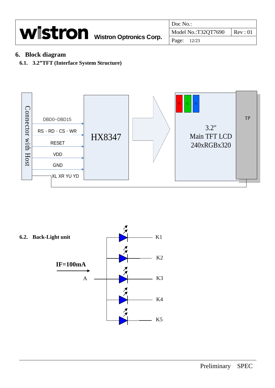|                                        | Doc No.:                                 |
|----------------------------------------|------------------------------------------|
| <b>Wistron</b> Wistron Optronics Corp. | Model No.:T32QT7690<br>$\mathsf{Rev}:01$ |
|                                        | Page: 12/23                              |

#### **6. Block diagram**

**6.1. 3.2"TFT (Interface System Structure)** 



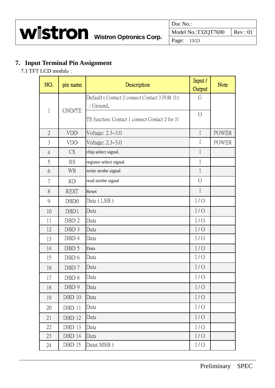#### **7. Input Terminal Pin Assignment**

7.1 TFT LCD module :

| NO.            | pin name         | Description                                               | Input /<br>Output | <b>Note</b>  |
|----------------|------------------|-----------------------------------------------------------|-------------------|--------------|
| $\mathbf{1}$   | <b>GND/TE</b>    | Default (Contact 2 connect Contact 3 FOR J1)<br>: Ground, | G                 |              |
|                |                  | TE function: Contact 1 connect Contact 2 for J1           | $\bigcirc$        |              |
| $\overline{2}$ | <b>VDD</b>       | Voltage: 2.3~3.0                                          | $\mathbf I$       | <b>POWER</b> |
| $\overline{3}$ | <b>VDD</b>       | Voltage: 2.3~3.0                                          | $\rm I$           | <b>POWER</b> |
| $\overline{4}$ | CS               | chip select signal.                                       | $\mathbf I$       |              |
| 5              | <b>RS</b>        | register select signal.                                   | $\mathbf I$       |              |
| 6              | <b>WR</b>        | write strobe signal                                       | $\mathbf I$       |              |
| 7              | RD               | read strobe signal                                        | $\bigcirc$        |              |
| 8              | <b>REST</b>      | Reset                                                     | $\mathbf I$       |              |
| 9              | DB <sub>D</sub>  | Data (LSB)                                                | I/O               |              |
| 10             | DBD1             | Data                                                      | I/O               |              |
| 11             | DBD <sub>2</sub> | Data                                                      | I/O               |              |
| 12             | DBD 3            | Data                                                      | I/O               |              |
| 13             | DBD 4            | Data                                                      | I/O               |              |
| 14             | DBD 5            | Data                                                      | I/O               |              |
| 15             | DBD 6            | Data                                                      | I/O               |              |
| 16             | DBD 7            | Data                                                      | I/O               |              |
| 17             | DBD <sub>8</sub> | Data                                                      | I/O               |              |
| 18             | DBD 9            | Data                                                      | I/O               |              |
| 19             | DBD10            | Data                                                      | I/O               |              |
| 20             | DBD 11           | Data                                                      | I/O               |              |
| 21             | DBD 12           | Data                                                      | I/O               |              |
| 22             | DBD 13           | Data                                                      | $I/O$             |              |
| 23             | DBD 14           | Data                                                      | I/O               |              |
| 24             | DBD 15           | Data(MSB)                                                 | I/O               |              |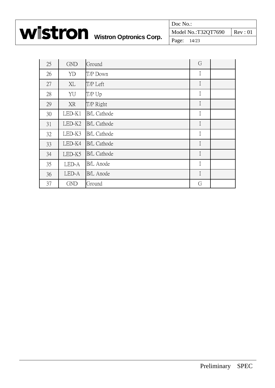|                                        | Doc No.:                      |  |
|----------------------------------------|-------------------------------|--|
| <b>Wistron</b> Wistron Optronics Corp. | Model No.:T32QT7690   Rev: 01 |  |
|                                        | $\vert$ Page: 14/23           |  |

| 25 | <b>GND</b> | Ground             | G           |  |
|----|------------|--------------------|-------------|--|
| 26 | YD         | T/P Down           | I           |  |
| 27 | XL         | T/P Left           | $\mathbf I$ |  |
| 28 | YU         | T/P Up             | I           |  |
| 29 | XR         | T/P Right          | $\mathbf I$ |  |
| 30 | $LED-K1$   | <b>B/L Cathode</b> | $\mathbf I$ |  |
| 31 | LED-K2     | <b>B/L Cathode</b> | $\mathbf I$ |  |
| 32 | LED-K3     | <b>B/L Cathode</b> | $\bf{I}$    |  |
| 33 | LED-K4     | <b>B/L Cathode</b> | $\mathbf I$ |  |
| 34 | LED-K5     | <b>B/L Cathode</b> | $\mathbf I$ |  |
| 35 | LED-A      | <b>B/L</b> Anode   | $\bf{I}$    |  |
| 36 | LED-A      | <b>B/L</b> Anode   | $\mathbf I$ |  |
| 37 | <b>GND</b> | Ground             | G           |  |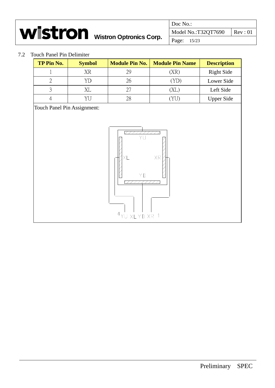|                                        | Doc No.:                             |  |
|----------------------------------------|--------------------------------------|--|
| <b>WIStron</b> Wistron Optronics Corp. | Model No.:T32QT7690 $\vert$ Rev : 01 |  |
|                                        | Page: 15/23                          |  |

#### 7.2 Touch Panel Pin Delimiter

| TP Pin No. | <b>Symbol</b> | <b>Module Pin No.</b> | <b>Module Pin Name</b> | <b>Description</b> |
|------------|---------------|-----------------------|------------------------|--------------------|
|            | XR            | 29                    | (XR                    | <b>Right Side</b>  |
|            |               | 26                    |                        | Lower Side         |
|            |               | 27                    | ΧL                     | Left Side          |
|            |               | 28                    |                        | <b>Upper Side</b>  |

Touch Panel Pin Assignment:

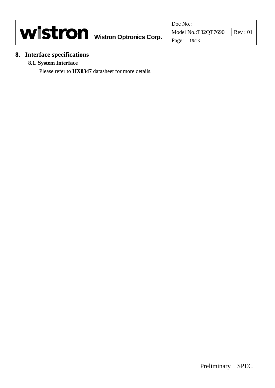|                                        |                     | Doc No.:           |  |
|----------------------------------------|---------------------|--------------------|--|
| <b>Wistron</b> Wistron Optronics Corp. | Model No.:T32QT7690 | $\mathsf{Rev}: 01$ |  |
|                                        |                     | Page: 16/23        |  |

### **8. Interface specifications**

#### **8.1. System Interface**

Please refer to **HX8347** datasheet for more details.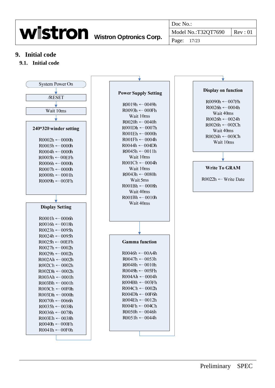|                                        | Doc No.:            |                  |
|----------------------------------------|---------------------|------------------|
| <b>Wistron</b> Wistron Optronics Corp. | Model No.:T32QT7690 | $\text{Rev}: 01$ |
|                                        | Page: 17/23         |                  |

#### **9. Initial code**

#### **9.1. Initial code**

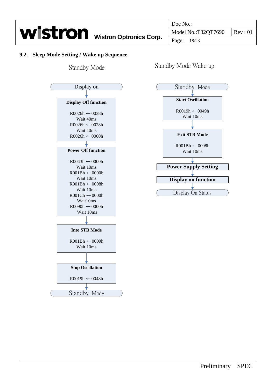

#### **9.2. Sleep Mode Setting / Wake up Sequence**

Standby Mode



Standby Mode Wake up

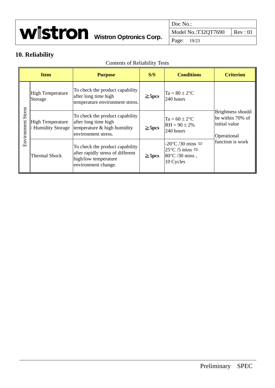|                                        | Doc No.:                       |  |
|----------------------------------------|--------------------------------|--|
| <b>WISTron</b> Wistron Optronics Corp. | Model No.:T32QT7690   Rev : 01 |  |
|                                        | Page: 19/23                    |  |

## **10. Reliability**

|                       | <b>Item</b>                                        | <b>Purpose</b>                                                                                                      | S/S         | <b>Conditions</b>                                                                                                             | <b>Criterion</b>                                                      |  |
|-----------------------|----------------------------------------------------|---------------------------------------------------------------------------------------------------------------------|-------------|-------------------------------------------------------------------------------------------------------------------------------|-----------------------------------------------------------------------|--|
| Stress<br>Environment | <b>High Temperature</b><br>Storage                 | To check the product capability<br>after long time high<br>temperature environment stress.                          | $\geq$ 5pcs | $Ta = 80 \pm 2$ <sup>o</sup> C<br>240 hours                                                                                   |                                                                       |  |
|                       | <b>High Temperature</b><br><b>Humidity Storage</b> | To check the product capability<br>after long time high<br>temperature & high humidity<br>environment stress.       | $\geq$ 5pcs | $Ta = 60 \pm 2$ <sup>o</sup> C<br>$RH = 90 \pm 2\%$<br>240 hours                                                              | Brightness should<br>be within 70% of<br>initial value<br>Operational |  |
|                       | <b>Thermal Shock</b>                               | To check the product capability<br>after rapidly stress of different<br>high/low temperature<br>environment change. | $\geq$ 5pcs | -20 $\mathrm{^{\circ}C}$ /30 mins $\Leftrightarrow$<br>25°C/5 mins $\Leftrightarrow$<br>$80^{\circ}$ C /30 mins,<br>10 Cycles | function is work                                                      |  |

#### Contents of Reliability Tests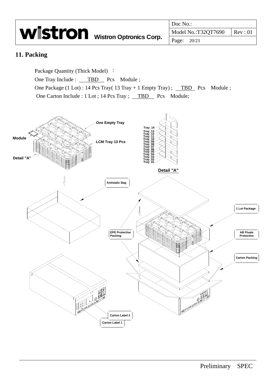|                                 | Doc No.:                             |  |
|---------------------------------|--------------------------------------|--|
| Wistron Wistron Optronics Corp. | Model No.:T32QT7690 $\vert$ Rev : 01 |  |
|                                 | Page: 20/23                          |  |

#### **11. Packing**

Package Quantity (Thick Model) :

One Tray Include : \_\_\_ TBD \_\_ Pcs Module ;

One Package (1 Lot) : 14 Pcs Tray(  $13$  Tray + 1 Empty Tray) ; TBD Pcs Module ; One Carton Include : 1 Lot ; 14 Pcs Tray ; TBD Pcs Module;

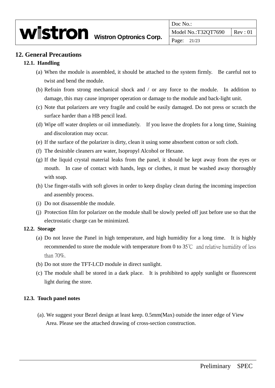#### **12. General Precautions**

#### **12.1. Handling**

- (a) When the module is assembled, it should be attached to the system firmly. Be careful not to twist and bend the module.
- (b) Refrain from strong mechanical shock and / or any force to the module. In addition to damage, this may cause improper operation or damage to the module and back-light unit.
- (c) Note that polarizers are very fragile and could be easily damaged. Do not press or scratch the surface harder than a HB pencil lead.
- (d) Wipe off water droplets or oil immediately. If you leave the droplets for a long time, Staining and discoloration may occur.
- (e) If the surface of the polarizer is dirty, clean it using some absorbent cotton or soft cloth.
- (f) The desirable cleaners are water, Isopropyl Alcohol or Hexane.
- (g) If the liquid crystal material leaks from the panel, it should be kept away from the eyes or mouth. In case of contact with hands, legs or clothes, it must be washed away thoroughly with soap.
- (h) Use finger-stalls with soft gloves in order to keep display clean during the incoming inspection and assembly process.
- (i) Do not disassemble the module.
- (j) Protection film for polarizer on the module shall be slowly peeled off just before use so that the electrostatic charge can be minimized.

#### **12.2. Storage**

- (a) Do not leave the Panel in high temperature, and high humidity for a long time. It is highly recommended to store the module with temperature from 0 to 35℃ and relative humidity of less than 70%.
- (b) Do not store the TFT-LCD module in direct sunlight.
- (c) The module shall be stored in a dark place. It is prohibited to apply sunlight or fluorescent light during the store.

#### **12.3. Touch panel notes**

(a). We suggest your Bezel design at least keep. 0.5mm(Max) outside the inner edge of View Area. Please see the attached drawing of cross-section construction.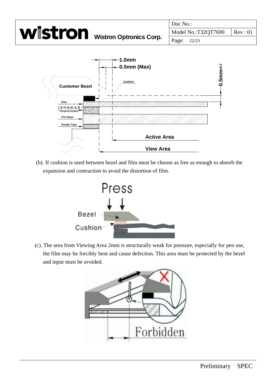

(b). If cushion is used between bezel and film must be choose as free as enough to absorb the expansion and contraction to avoid the distortion of film.



(c). The area from Viewing Area 2mm is structurally weak for pressure, especially for pen use, the film may be forcibly bent and cause defection. This area must be protected by the bezel and input must be avoided.

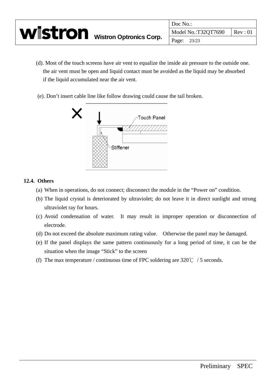|                                        | Doc No.:            |                    |
|----------------------------------------|---------------------|--------------------|
| <b>WISTron</b> Wistron Optronics Corp. | Model No.:T32QT7690 | $\mathsf{Rev}: 01$ |
|                                        | Page: 23/23         |                    |

- (d). Most of the touch screens have air vent to equalize the inside air pressure to the outside one. the air vent must be open and liquid contact must be avoided as the liquid may be absorbed if the liquid accumulated near the air vent.
- (e). Don't insert cable line like follow drawing could cause the tail broken.



#### **12.4. Others**

- (a) When in operations, do not connect; disconnect the module in the "Power on" condition.
- (b) The liquid crystal is deteriorated by ultraviolet; do not leave it in direct sunlight and strong ultraviolet ray for hours.
- (c) Avoid condensation of water. It may result in improper operation or disconnection of electrode.
- (d) Do not exceed the absolute maximum rating value. Otherwise the panel may be damaged.
- (e) If the panel displays the same pattern continuously for a long period of time, it can be the situation when the image "Stick" to the screen
- (f) The max temperature / continuous time of FPC soldering are  $320^{\circ}$  C / 5 seconds.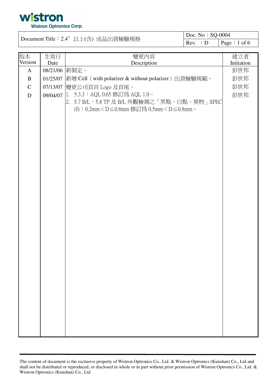

| Document Title: 2.4"以上(含)成品出貨檢驗規格 |          |                                                                               | Doc. No: SQ-0004 |              |
|-----------------------------------|----------|-------------------------------------------------------------------------------|------------------|--------------|
|                                   |          |                                                                               | Rev. : D         | Page: 1 of 6 |
|                                   |          |                                                                               |                  |              |
| 版本<br>Version                     | 生效日      | 變更內容                                                                          |                  | 建立者          |
|                                   | Date     | Description                                                                   |                  | Initiation   |
| $\mathbf{A}$                      |          | 08/21/06 新制定。                                                                 |                  | 彭世邦          |
| $\, {\bf B}$                      | 01/25/07 | 新增 Cell (with polarizer & without polarizer) 出貨檢驗規範。                          |                  | 彭世邦          |
| $\mathbf C$                       |          | 07/13/07 變更公司頁首 Logo 及頁尾。                                                     |                  | 彭世邦          |
| D                                 | 09/04/07 | 1. 5.3.3: AQL 0.65 修訂為 AQL 1.0。                                               |                  | 彭世邦          |
|                                   |          | 2.5.7 B/L、5.8 TP 及 B/L 外觀檢測之「黑點、白點、異物」SPEC                                    |                  |              |
|                                   |          | 由:0.2mm <d≦0.8mm 0.5mm<d≦0.8mm。<="" th="" 修訂為=""><th></th><th></th></d≦0.8mm> |                  |              |
|                                   |          |                                                                               |                  |              |
|                                   |          |                                                                               |                  |              |
|                                   |          |                                                                               |                  |              |
|                                   |          |                                                                               |                  |              |
|                                   |          |                                                                               |                  |              |
|                                   |          |                                                                               |                  |              |
|                                   |          |                                                                               |                  |              |
|                                   |          |                                                                               |                  |              |
|                                   |          |                                                                               |                  |              |
|                                   |          |                                                                               |                  |              |
|                                   |          |                                                                               |                  |              |
|                                   |          |                                                                               |                  |              |
|                                   |          |                                                                               |                  |              |
|                                   |          |                                                                               |                  |              |
|                                   |          |                                                                               |                  |              |
|                                   |          |                                                                               |                  |              |
|                                   |          |                                                                               |                  |              |
|                                   |          |                                                                               |                  |              |
|                                   |          |                                                                               |                  |              |
|                                   |          |                                                                               |                  |              |
|                                   |          |                                                                               |                  |              |
|                                   |          |                                                                               |                  |              |
|                                   |          |                                                                               |                  |              |
|                                   |          |                                                                               |                  |              |
|                                   |          |                                                                               |                  |              |
|                                   |          |                                                                               |                  |              |
|                                   |          |                                                                               |                  |              |
|                                   |          |                                                                               |                  |              |
|                                   |          |                                                                               |                  |              |
|                                   |          |                                                                               |                  |              |

The content of document is the exclusive property of Wistron Optronics Co., Ltd. & Wistron Optronics (Kunshan) Co., Ltd and shall not be distributed or reproduced, or disclosed in whole or in part without prior permission of Wistron Optronics Co., Ltd. & Wistron Optronics (Kunshan) Co., Ltd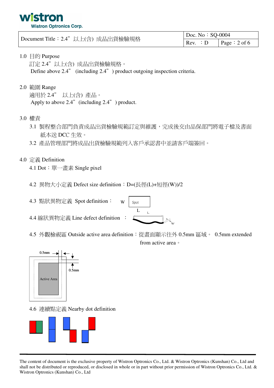

|                                    | Doc. No: $SQ-0004$                     |  |
|------------------------------------|----------------------------------------|--|
| Document Title: 2.4"以上(含) 成品出貨檢驗規格 | $\vert$ Rev. : D $\vert$ Page : 2 of 6 |  |

#### 1.0 目的 Purpose

訂定 2.4"以上(含) 成品出貨檢驗規格。 Define above 2.4" (including 2.4") product outgoing inspection criteria.

#### 2.0 範圍 Range

適用於 2.4" 以上(含) 產品。 Apply to above 2.4" (including  $2.4$ ") product.

#### 3.0 權責

- 3.1 製程整合部門負責成品出貨檢驗規範訂定與維護,完成後交由品保部門將電子檔及書面 紙本送 DCC 生效。
- 3.2 產品管理部門將成品出貨檢驗規範列入客戶承認書中並請客戶端簽回。

#### 4.0 定義 Definition

- 4.1 Dot: 單一畫素 Single pixel
- 4.2 異物大小定義 Defect size definition: D=(長徑(L)+短徑(W))/2
- 4.3 點狀異物定義 Spot definition:
- 4.4 線狀異物定義 Line defect definition :



4.5 外觀檢視區 Outside active area definition:從畫面顯示往外 0.5mm 區域。 0.5mm extended from active area



4.6 連續點定義 Nearby dot definition



The content of document is the exclusive property of Wistron Optronics Co., Ltd. & Wistron Optronics (Kunshan) Co., Ltd and shall not be distributed or reproduced, or disclosed in whole or in part without prior permission of Wistron Optronics Co., Ltd. & Wistron Optronics (Kunshan) Co., Ltd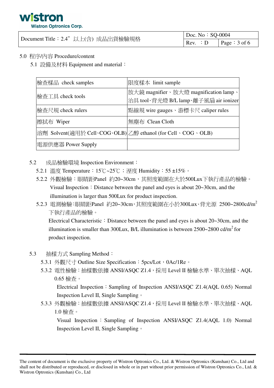## **Wistron Optronics Corp.**

|                                    | Doc. No: $SQ-0004$ |                 |
|------------------------------------|--------------------|-----------------|
| Document Title: 2.4"以上(含) 成品出貨檢驗規格 | Rev. : D           | Page : $3$ of 6 |

#### 5.0 程序/內容 Procedure/content

5.1 設備及材料 Equipment and material:

| 檢查樣品 check samples                                         | 限度樣本 limit sample                                                              |
|------------------------------------------------------------|--------------------------------------------------------------------------------|
| 檢查工具 check tools                                           | 放大鏡 magnifier、放大燈 magnification lamp、<br>治具 tool、背光燈 B/L lamp、離子風扇 air ionizer |
| │檢査尺規 check rulers                                         | 點線規 wire gauges、游標卡尺 caliper rules                                             |
| 擦拭布 Wiper                                                  | 無塵布 Clean Cloth                                                                |
| 溶劑 Solvent(適用於 Cell、COG、OLB) 乙醇 ethanol (for Cell、COG、OLB) |                                                                                |
| 電源供應器 Power Supply                                         |                                                                                |

- $5.2$ 成品檢驗環境 Inspection Environment:
	- 5.2.1 溫度 Temperature: 15℃~25℃; 溼度 Humidity: 55±15%。
	- 5.2.2 外觀檢驗:眼睛距Panel 約20~30cm,其照度範圍在大於500Lux下執行產品的檢驗。 Visual Inspection : Distance between the panel and eyes is about  $20\neg 30$ cm, and the illumination is larger than 500Lux for product inspection.
	- 5.2.3 電測檢驗:眼睛距Panel 約20~30cm,其照度範圍在小於300Lux、背光源 2500~2800cd/m<sup>2</sup> 下執行產品的檢驗。

Electrical Characteristic: Distance between the panel and eyes is about 20~30cm, and the illumination is smaller than 300Lux, B/L illumination is between  $2500-2800$  cd/m<sup>2</sup> for product inspection.

- 5.3 抽樣方式 Sampling Method:
	- 5.3.1 外觀尺寸 Outline Size Specification: 5pcs/Lot, 0Ac/1Re。
	- 5.3.2 電性檢驗:抽樣數依據 ANSI/ASQC Z1.4, 採用 Level II 檢驗水準、單次抽樣、AQL  $0.65$ 檢查。

Electrical Inspection: Sampling of Inspection ANSI/ASQC Z1.4(AQL 0.65) Normal Inspection Level II, Single Sampling .

5.3.3 外觀檢驗:抽樣數依據 ANSI/ASQC Z1.4, 採用 Level II 檢驗水準、單次抽樣、AQL  $1.0$ 檢杳。

Visual Inspection: Sampling of Inspection ANSI/ASOC Z1.4(AOL 1.0) Normal Inspection Level II, Single Sampling .

The content of document is the exclusive property of Wistron Optronics Co., Ltd. & Wistron Optronics (Kunshan) Co., Ltd and shall not be distributed or reproduced, or disclosed in whole or in part without prior permission of Wistron Optronics Co., Ltd. & Wistron Optronics (Kunshan) Co., Ltd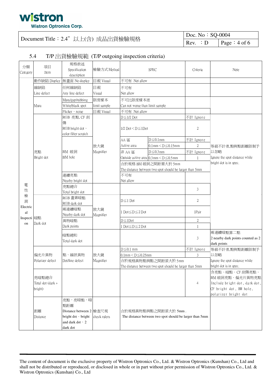### wistron **Wistron Optronics Corp.**

#### Document Title: 2.4"以上(含)成品出貨檢驗規格

| $\vert$ Doc. No: SQ-0004     |                 |  |  |
|------------------------------|-----------------|--|--|
| $\mathsf{Rev.} : \mathsf{D}$ | Page : $4$ of 6 |  |  |

#### T/P 出貨檢驗規範 (T/P outgoing inspection criteria) 5.4

| 分類<br>Category | 項目<br>Item                            | 規格敘述<br>Specification<br>description                                                                    | 檢驗方式 Method      | <b>SPEC</b>                                                                     |                                                         | Criteria         | Note                                                                                                                   |
|----------------|---------------------------------------|---------------------------------------------------------------------------------------------------------|------------------|---------------------------------------------------------------------------------|---------------------------------------------------------|------------------|------------------------------------------------------------------------------------------------------------------------|
|                | 動作缺陷 Display                          | 無畫面 No display                                                                                          | 目視 Visual        | 不可有 Not allow                                                                   |                                                         |                  |                                                                                                                        |
|                | 線缺陷<br>Line defect                    | 任何線缺陷<br>Any line defect                                                                                | 目視<br>Visual     | 不可有<br>Not allow                                                                |                                                         |                  |                                                                                                                        |
|                |                                       | Mura/gap/rubbing                                                                                        | 限度樣本             | 不可比限度樣本差                                                                        |                                                         |                  |                                                                                                                        |
|                | Mura                                  | White/black spot                                                                                        | limit sample     | Can not worse than limit sample                                                 |                                                         |                  |                                                                                                                        |
|                |                                       | Flicker · noise                                                                                         | 目視 Visual        | 不可有 Not allow                                                                   |                                                         |                  |                                                                                                                        |
|                |                                       | RGB 亮點, CF 刮                                                                                            |                  | $D \leq 1/2$ Dot                                                                |                                                         | 不計 Ignore        |                                                                                                                        |
|                |                                       | 傷<br>RGB bright dot \<br>color filter scratch                                                           |                  | $1/2$ Dot $\leq D \leq 1$ Dot                                                   |                                                         | $\overline{2}$   |                                                                                                                        |
|                |                                       |                                                                                                         |                  | AA 區                                                                            | $D \leq 0.1$ mm                                         | 不計 Ignore        |                                                                                                                        |
|                |                                       |                                                                                                         | 放大鏡              | Active area                                                                     | $0.1$ mm $\leq$ D $\leq$ 0.15mm                         | $\overline{2}$   | 等級不計者,點與點距離限制予                                                                                                         |
|                | 亮點                                    | BM 破洞                                                                                                   | Magnifier        | 非 AA 區                                                                          | $D \le 0.3$ mm                                          | 不計 Ignore        | 以忽略                                                                                                                    |
|                | Bright dot                            | BM hole                                                                                                 |                  |                                                                                 | Outside active area $0.3$ mm $\leq D \leq 0.5$ mm       |                  | Ignore the spot distance while                                                                                         |
|                |                                       |                                                                                                         |                  |                                                                                 | 合於規格 BM 破洞之間距需大於 5mm                                    |                  | bright dot is in spec.                                                                                                 |
|                |                                       |                                                                                                         |                  |                                                                                 | The distance between two spot should be larger than 5mm |                  |                                                                                                                        |
|                |                                       | 連續亮點                                                                                                    |                  | 不可有                                                                             |                                                         |                  |                                                                                                                        |
|                |                                       | Nearby bright dot                                                                                       |                  | Not allow                                                                       |                                                         |                  |                                                                                                                        |
| 電              |                                       | 亮點總合                                                                                                    |                  |                                                                                 |                                                         |                  |                                                                                                                        |
| 性              |                                       | Total bright dot                                                                                        |                  |                                                                                 |                                                         | 3                |                                                                                                                        |
| 檢              | Dark dot                              | RGB 畫素暗點                                                                                                | 放大鏡<br>Magnifier | $D \leq 1$ Dot                                                                  |                                                         | $\overline{2}$   |                                                                                                                        |
| 測<br>Electric  |                                       | RGB dark dot                                                                                            |                  |                                                                                 |                                                         |                  |                                                                                                                        |
| al             |                                       | 兩連續暗點                                                                                                   |                  | 1 Dot≦D≦2 Dot                                                                   |                                                         | 1Pair            |                                                                                                                        |
| Inspecti 暗點    |                                       | Nearby dark dot                                                                                         |                  |                                                                                 |                                                         |                  |                                                                                                                        |
| on             |                                       | 異物暗點                                                                                                    |                  | $D \leq 1$ Dot                                                                  |                                                         | $\boldsymbol{2}$ |                                                                                                                        |
|                |                                       | Dark points                                                                                             |                  | $Dot \leq D \leq 2$ Dot                                                         |                                                         | $\mathbf{1}$     |                                                                                                                        |
|                |                                       | 暗點總和<br>Total dark dot                                                                                  |                  |                                                                                 |                                                         | 3                | 兩連續暗點算二點<br>2 nearby dark points counted as 2<br>dark points                                                           |
|                |                                       |                                                                                                         |                  | $D \le 0.1$ mm                                                                  |                                                         | 不計 Ignore        | 等級不計者,點與點距離限制予                                                                                                         |
|                | 偏光片異物                                 | 點、線狀異物                                                                                                  | 放大鏡              | $0.1$ mm $\leq$ D $\leq$ 0.25mm                                                 |                                                         | 3                | 以忽略                                                                                                                    |
|                | Polarizer defect                      | Dot/line defect                                                                                         | Magnifier        |                                                                                 | 合於規格異物點與點之間距須大於 5mm                                     |                  | Ignore the spot distance while                                                                                         |
|                |                                       |                                                                                                         |                  |                                                                                 | The distance between two spot should be larger than 5mm |                  | bright dot is in spec.                                                                                                 |
|                | 亮暗點總合<br>Total dot (dark +<br>bright) |                                                                                                         |                  |                                                                                 |                                                         | $\overline{4}$   | 含亮點、暗點、CF 刮傷亮點、<br>BM 破洞亮點、偏光片異物亮點<br>Include bright dot, dark dot,<br>CF bright dot, BM hole,<br>polarizer bright dot |
|                | 距離<br>Distance                        | 亮點、亮暗點、暗<br>點距離<br>Distance between 2 檢查尺規<br>bright dot · bright<br>and dark dot $\cdot$ 2<br>dark dot | check rulers     | 合於規格異物點與點之間距須大於 5mm.<br>The distance between two spot should be larger than 5mm |                                                         |                  |                                                                                                                        |

The content of document is the exclusive property of Wistron Optronics Co., Ltd. & Wistron Optronics (Kunshan) Co., Ltd and shall not be distributed or reproduced, or disclosed in whole or in part without prior permission of Wistron Optronics Co., Ltd. & Wistron Optronics (Kunshan) Co., Ltd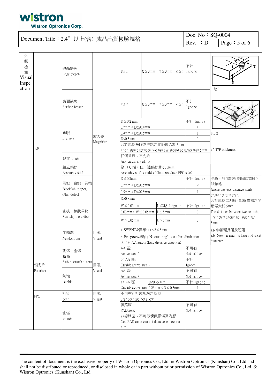

#### Doc. No: SQ-0004 Document Title: 2.4"以上(含)成品出貨檢驗規格  $Rev. : D$ Page: 5 of 6

| 外<br>觀<br>檢<br>測<br>Visual<br>Inspe<br>ction |                  | 邊緣缺角<br>Edge breach                           |                  | Fig 1                                                                                                  |                                                                                                                               | $X \leq 3$ mm $: Y \leq 3$ mm $: Z \leq t$                                         | 不計<br>Ignore                                 | Fig 1                                                                                                |
|----------------------------------------------|------------------|-----------------------------------------------|------------------|--------------------------------------------------------------------------------------------------------|-------------------------------------------------------------------------------------------------------------------------------|------------------------------------------------------------------------------------|----------------------------------------------|------------------------------------------------------------------------------------------------------|
|                                              |                  | 表面缺角<br>Surface breach                        |                  | Fig 2                                                                                                  |                                                                                                                               | $X \leq 3$ mm; $Y \leq 3$ mm; $Z \leq t$                                           | 不計<br>Ignore                                 |                                                                                                      |
|                                              | T/P              | 魚眼<br>Fish eye                                | 放大鏡<br>Magnifier | $D \le 0.2$ mm<br>$0.2$ mm $<$ D $\leq$ 0.4mm<br>$0.4$ mm $<$ D $\leq$ 0.5mm<br>$D>0.5$ mm             |                                                                                                                               |                                                                                    | 不計 Ignore<br>4<br>$\overline{0}$             | Fig 2                                                                                                |
|                                              |                  |                                               |                  | 任何裂痕:不允許                                                                                               |                                                                                                                               | 合於規格魚眼點與點之間距須大於 5mm<br>The distance between two fish eye should be larger than 5mm |                                              | t T/P thickness                                                                                      |
|                                              |                  | 裂痕 crack<br>組立偏移<br>Assembly shift            |                  | Any crack: not allow<br>除 FPC 端, 任一邊偏移量<0.3mm                                                          |                                                                                                                               | Assembly shift should <0.3mm (exclude FPC side)                                    |                                              |                                                                                                      |
|                                              |                  | 黑點、白點、異物<br>Black/white spot,<br>other defect |                  | $D \leq 0.2$ mm<br>$0.2$ mm $<$ D $\leq$ 0.5mm<br>$0.5$ mm $<$ D $\leq$ 0.8mm                          |                                                                                                                               |                                                                                    | 不計 Ignore<br>$\overline{2}$                  | 等級不計者點與點距離限制予<br>以忽略<br>Ignore the spot distance while<br>bright dot is in spec.                     |
|                                              |                  | 刮痕、線狀異物<br>Scratch, line defect               |                  | $D>0.8$ mm<br>$W \leq 0.03$ mm<br>$0.03$ mm $\leq W \leq 0.05$ mm $\vert L \leq 5$ mm<br>$W > 0.05$ mm |                                                                                                                               | L 忽略; L ignore<br>$L > 5$ mm                                                       | $\overline{0}$<br>不計 Ignore<br>3<br>$\theta$ | 合於規格二刮痕、點線異物之間<br>距需大於 5mm<br>The distance between two scratch,<br>line defect should be larger than |
|                                              |                  | 牛頓環<br>Newton ring                            | 目視<br>Visual     |                                                                                                        | a. SWENC&洋華: a+b/2 ≤8mm<br>b. Eelyecw/泰山: Newton ring's out line diminution<br>$\leq$ 1/3 AA length (long distance direction) |                                                                                    |                                              | 5mm<br>a,b:牛頓環長邊及短邊<br>a,b: Newton ring' s long and short<br>diameter                                |
|                                              | 偏光片<br>Polarizer | 刺傷、刮傷、<br>壓傷<br>Stab · scratch · dent         | 目視               | AA 區:<br>Active area<br>非 AA 區:<br>Outside active area:                                                |                                                                                                                               |                                                                                    | 不可有<br>Not allow<br>不計<br>Ignore             |                                                                                                      |
|                                              |                  | 氣泡<br>Bubble                                  | Visual           | AA 區:<br>Active area:<br>D<0.25 mm<br>非 AA 區<br>Outside active area $0.25$ mm $\leq D \leq 0.5$ mm     |                                                                                                                               |                                                                                    | 不可有<br>Not allow<br>不計 Ignore                |                                                                                                      |
|                                              | <b>FPC</b>       | 折痕<br>bend                                    | 目視<br>Visual     | 不可有死折或銳角之折痕<br>Scar bend are not allow<br>線路區:                                                         |                                                                                                                               |                                                                                    | 不可有                                          |                                                                                                      |
|                                              |                  | 刮傷<br>scratch                                 |                  | PAD area:<br>非線路區:不可破壞保膠傷及內層<br>Non PAD area: can not damage protection<br>film                        |                                                                                                                               |                                                                                    | Not allow                                    |                                                                                                      |

The content of document is the exclusive property of Wistron Optronics Co., Ltd. & Wistron Optronics (Kunshan) Co., Ltd and shall not be distributed or reproduced, or disclosed in whole or in part without prior permission of Wistron Optronics Co., Ltd. & Wistron Optronics (Kunshan) Co., Ltd